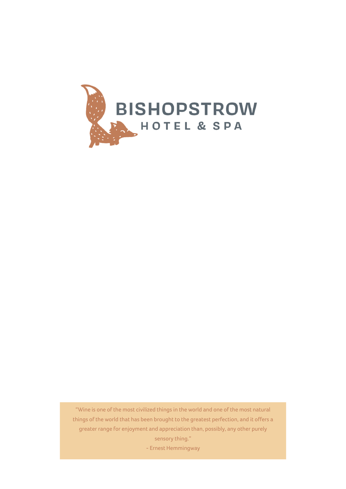

"Wine is one of the most civilized things in the world and one of the most natural things of the world that has been brought to the greatest perfection, and it offers a greater range for enjoyment and appreciation than, possibly, any other purely sensory thing." - Ernest Hemmingway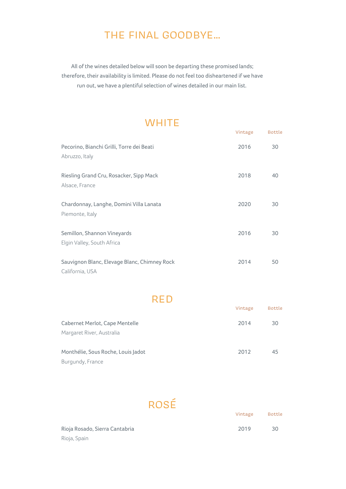#### THE FINAL GOODBYE...

All of the wines detailed below will soon be departing these promised lands; therefore, their availability is limited. Please do not feel too disheartened if we have run out, we have a plentiful selection of wines detailed in our main list.

#### **WHITE**

Bottle

Vintage

|                                              | Vintage | Bottle |
|----------------------------------------------|---------|--------|
| Pecorino, Bianchi Grilli, Torre dei Beati    | 2016    | 30     |
| Abruzzo, Italy                               |         |        |
| Riesling Grand Cru, Rosacker, Sipp Mack      | 2018    | 40     |
| Alsace, France                               |         |        |
| Chardonnay, Langhe, Domini Villa Lanata      | 2020    | 30     |
| Piemonte, Italy                              |         |        |
| Semillon, Shannon Vineyards                  | 2016    | 30     |
| Elgin Valley, South Africa                   |         |        |
| Sauvignon Blanc, Elevage Blanc, Chimney Rock | 2014    | 50     |
| California, USA                              |         |        |

RED

|                                    | Vintage | <b>Bottle</b> |
|------------------------------------|---------|---------------|
| Cabernet Merlot, Cape Mentelle     | 2014    | 30            |
| Margaret River, Australia          |         |               |
| Monthélie, Sous Roche, Louis Jadot | 2012    | 45            |
| Burgundy, France                   |         |               |

# ROSÉ

| Rioja Rosado, Sierra Cantabria | 2019 | -30 |
|--------------------------------|------|-----|
| Rioja, Spain                   |      |     |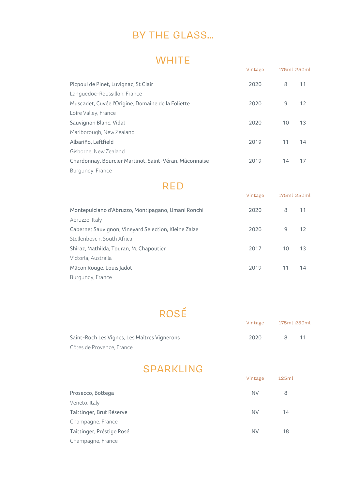## BY THE GLASS...

#### **WHITE**

|                                                        | Vintage | 175ml 250ml |    |
|--------------------------------------------------------|---------|-------------|----|
| Picpoul de Pinet, Luvignac, St Clair                   | 2020    | 8           | 11 |
| Languedoc-Roussillon, France                           |         |             |    |
| Muscadet, Cuvée l'Origine, Domaine de la Foliette      | 2020    | 9           | 12 |
| Loire Valley, France                                   |         |             |    |
| Sauvignon Blanc, Vidal                                 | 2020    | 10          | 13 |
| Marlborough, New Zealand                               |         |             |    |
| Albariño, Leftfield                                    | 2019    | 11          | 14 |
| Gisborne, New Zealand                                  |         |             |    |
| Chardonnay, Bourcier Martinot, Saint-Véran, Mâconnaise | 2019    | 14          | 17 |
| Burgundy, France                                       |         |             |    |

#### RED

| Montepulciano d'Abruzzo, Montipagano, Umani Ronchi   | 2020 | 8  | 11  |
|------------------------------------------------------|------|----|-----|
| Abruzzo, Italy                                       |      |    |     |
| Cabernet Sauvignon, Vineyard Selection, Kleine Zalze | 2020 | 9  | -12 |
| Stellenbosch, South Africa                           |      |    |     |
| Shiraz, Mathilda, Touran, M. Chapoutier              | 2017 | 10 | -13 |
| Victoria, Australia                                  |      |    |     |
| Mâcon Rouge, Louis Jadot                             | 2019 | 11 | 14  |
| Burgundy, France                                     |      |    |     |

175ml 250ml Vintage

# ROSÉ

|                                              | Vintage | 175ml 250ml |  |
|----------------------------------------------|---------|-------------|--|
| Saint-Roch Les Vignes, Les Maîtres Vignerons | 2020    |             |  |
| Côtes de Provence, France                    |         |             |  |

## SPARKLING

|                           | Vintage   | 125ml |
|---------------------------|-----------|-------|
| Prosecco, Bottega         | <b>NV</b> | 8     |
| Veneto, Italy             |           |       |
| Taittinger, Brut Réserve  | <b>NV</b> | 14    |
| Champagne, France         |           |       |
| Taittinger, Préstige Rosé | <b>NV</b> | 18    |
| Champagne, France         |           |       |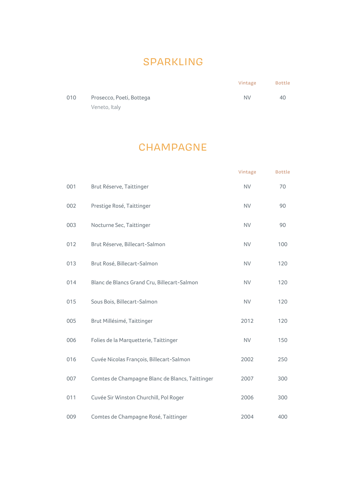#### SPARKLING

| 010 | Prosecco, Poeti, Bottega | NV | 40 |
|-----|--------------------------|----|----|
|     | Veneto, Italy            |    |    |

Bottle

Vintage

#### **CHAMPAGNE**

|     |                                                 | Vintage   | Bottle |
|-----|-------------------------------------------------|-----------|--------|
| 001 | Brut Réserve, Taittinger                        | <b>NV</b> | 70     |
| 002 | Prestige Rosé, Taittinger                       | <b>NV</b> | 90     |
| 003 | Nocturne Sec, Taittinger                        | <b>NV</b> | 90     |
| 012 | Brut Réserve, Billecart-Salmon                  | <b>NV</b> | 100    |
| 013 | Brut Rosé, Billecart-Salmon                     | <b>NV</b> | 120    |
| 014 | Blanc de Blancs Grand Cru, Billecart-Salmon     | <b>NV</b> | 120    |
| 015 | Sous Bois, Billecart-Salmon                     | <b>NV</b> | 120    |
| 005 | Brut Millésimé, Taittinger                      | 2012      | 120    |
| 006 | Folies de la Marquetterie, Taittinger           | <b>NV</b> | 150    |
| 016 | Cuvée Nicolas François, Billecart-Salmon        | 2002      | 250    |
| 007 | Comtes de Champagne Blanc de Blancs, Taittinger | 2007      | 300    |
| 011 | Cuvée Sir Winston Churchill, Pol Roger          | 2006      | 300    |
| 009 | Comtes de Champagne Rosé, Taittinger            | 2004      | 400    |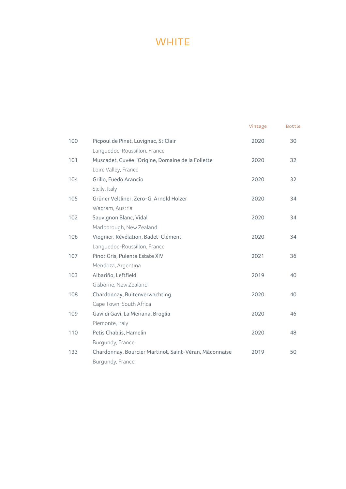## **WHITE**

|     |                                                        | Vintage | <b>Bottle</b> |
|-----|--------------------------------------------------------|---------|---------------|
| 100 | Picpoul de Pinet, Luvignac, St Clair                   | 2020    | 30            |
|     | Languedoc-Roussillon, France                           |         |               |
| 101 | Muscadet, Cuvée l'Origine, Domaine de la Foliette      | 2020    | 32            |
|     | Loire Valley, France                                   |         |               |
| 104 | Grillo, Fuedo Arancio                                  | 2020    | 32            |
|     | Sicily, Italy                                          |         |               |
| 105 | Grüner Veltliner, Zero-G, Arnold Holzer                | 2020    | 34            |
|     | Wagram, Austria                                        |         |               |
| 102 | Sauvignon Blanc, Vidal                                 | 2020    | 34            |
|     | Marlborough, New Zealand                               |         |               |
| 106 | Viognier, Révélation, Badet-Clément                    | 2020    | 34            |
|     | Languedoc-Roussillon, France                           |         |               |
| 107 | Pinot Gris, Pulenta Estate XIV                         | 2021    | 36            |
|     | Mendoza, Argentina                                     |         |               |
| 103 | Albariño, Leftfield                                    | 2019    | 40            |
|     | Gisborne, New Zealand                                  |         |               |
| 108 | Chardonnay, Buitenverwachting                          | 2020    | 40            |
|     | Cape Town, South Africa                                |         |               |
| 109 | Gavi di Gavi, La Meirana, Broglia                      | 2020    | 46            |
|     | Piemonte, Italy                                        |         |               |
| 110 | Petis Chablis, Hamelin                                 | 2020    | 48            |
|     | Burgundy, France                                       |         |               |
| 133 | Chardonnay, Bourcier Martinot, Saint-Véran, Mâconnaise | 2019    | 50            |
|     | Burgundy, France                                       |         |               |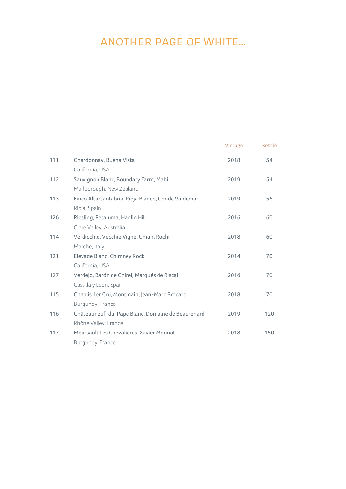## ANOTHER PAGE OF WHITE...

|                                                    |      | <b>Bottle</b> |
|----------------------------------------------------|------|---------------|
| Chardonnay, Buena Vista                            | 2018 | 54            |
| California, USA                                    |      |               |
| Sauvignon Blanc, Boundary Farm, Mahi               | 2019 | 54            |
| Marlborough, New Zealand                           |      |               |
| Finco Alta Cantabria, Rioja Blanco, Conde Valdemar | 2019 | 56            |
| Rioja, Spain                                       |      |               |
| Riesling, Petaluma, Hanlin Hill                    | 2016 | 60            |
| Clare Valley, Australia                            |      |               |
| Verdicchio, Vecchie Vigne, Umani Rochi             | 2018 | 60            |
| Marche, Italy                                      |      |               |
| Elevage Blanc, Chimney Rock                        | 2014 | 70            |
| California, USA                                    |      |               |
| Verdejo, Barón de Chirel, Marqués de Riscal        | 2016 | 70            |
| Castilla y León, Spain                             |      |               |
| Chablis 1er Cru, Montmain, Jean-Marc Brocard       | 2018 | 70            |
| Burgundy, France                                   |      |               |
| Châteauneuf-du-Pape Blanc, Domaine de Beaurenard   | 2019 | 120           |
| Rhône Valley, France                               |      |               |
| Meursault Les Chevalières, Xavier Monnot           | 2018 | 150           |
| Burgundy, France                                   |      |               |
|                                                    |      | Vintage       |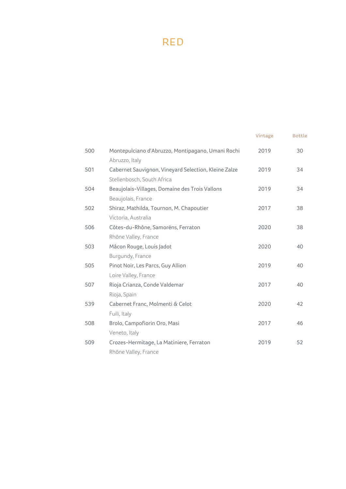## RED

|     |                                                                                    | Vintage | <b>Bottle</b> |
|-----|------------------------------------------------------------------------------------|---------|---------------|
| 500 | Montepulciano d'Abruzzo, Montipagano, Umani Rochi                                  | 2019    | 30            |
|     | Abruzzo, Italy                                                                     |         |               |
| 501 | Cabernet Sauvignon, Vineyard Selection, Kleine Zalze<br>Stellenbosch, South Africa | 2019    | 34            |
| 504 | Beaujolais-Villages, Domaine des Trois Vallons                                     | 2019    | 34            |
|     | Beaujolais, France                                                                 |         |               |
| 502 | Shiraz, Mathilda, Tournon, M. Chapoutier                                           | 2017    | 38            |
|     | Victoria, Australia                                                                |         |               |
| 506 | Côtes-du-Rhône, Samorëns, Ferraton                                                 | 2020    | 38            |
|     | Rhône Valley, France                                                               |         |               |
| 503 | Mâcon Rouge, Louis Jadot                                                           | 2020    | 40            |
|     | Burgundy, France                                                                   |         |               |
| 505 | Pinot Noir, Les Parcs, Guy Allion                                                  | 2019    | 40            |
|     | Loire Valley, France                                                               |         |               |
| 507 | Rioja Crianza, Conde Valdemar                                                      | 2017    | 40            |
|     | Rioja, Spain                                                                       |         |               |
| 539 | Cabernet Franc, Molmenti & Celot                                                   | 2020    | 42            |
|     | Fuili, Italy                                                                       |         |               |
| 508 | Brolo, Campofiorin Oro, Masi                                                       | 2017    | 46            |
|     | Veneto, Italy                                                                      |         |               |
| 509 | Crozes-Hermitage, La Matiniere, Ferraton                                           | 2019    | 52            |
|     | Rhône Valley, France                                                               |         |               |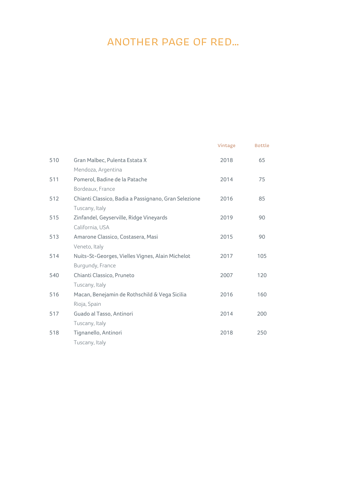# ANOTHER PAGE OF RED...

|     |                                                      | Vintage | <b>Bottle</b> |
|-----|------------------------------------------------------|---------|---------------|
| 510 | Gran Malbec, Pulenta Estata X                        | 2018    | 65            |
|     | Mendoza, Argentina                                   |         |               |
| 511 | Pomerol, Badine de la Patache                        | 2014    | 75            |
|     | Bordeaux, France                                     |         |               |
| 512 | Chianti Classico, Badia a Passignano, Gran Selezione | 2016    | 85            |
|     | Tuscany, Italy                                       |         |               |
| 515 | Zinfandel, Geyserville, Ridge Vineyards              | 2019    | 90            |
|     | California, USA                                      |         |               |
| 513 | Amarone Classico, Costasera, Masi                    | 2015    | 90            |
|     | Veneto, Italy                                        |         |               |
| 514 | Nuits-St-Georges, Vielles Vignes, Alain Michelot     | 2017    | 105           |
|     | Burgundy, France                                     |         |               |
| 540 | Chianti Classico, Pruneto                            | 2007    | 120           |
|     | Tuscany, Italy                                       |         |               |
| 516 | Macan, Benejamin de Rothschild & Vega Sicilia        | 2016    | 160           |
|     | Rioja, Spain                                         |         |               |
| 517 | Guado al Tasso, Antinori                             | 2014    | 200           |
|     | Tuscany, Italy                                       |         |               |
| 518 | Tignanello, Antinori                                 | 2018    | 250           |
|     | Tuscany, Italy                                       |         |               |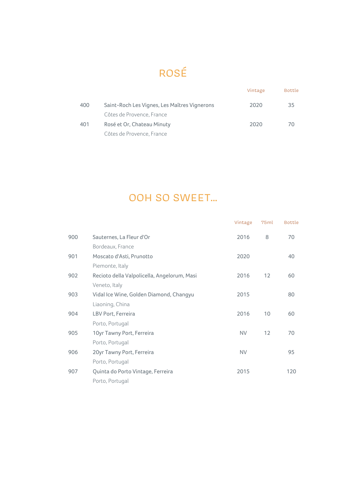# ROSÉ

|     |                                              | Vintage | <b>Bottle</b> |
|-----|----------------------------------------------|---------|---------------|
| 400 | Saint-Roch Les Vignes, Les Maîtres Vignerons | 2020    | 35            |
|     | Côtes de Provence, France                    |         |               |
| 401 | Rosé et Or, Chateau Minuty                   | 2020    | 70            |
|     | Côtes de Provence, France                    |         |               |

# OOH SO SWEET...

|     |                                             | Vintage   | 75ml | <b>Bottle</b> |
|-----|---------------------------------------------|-----------|------|---------------|
| 900 | Sauternes, La Fleur d'Or                    | 2016      | 8    | 70            |
|     | Bordeaux, France                            |           |      |               |
| 901 | Moscato d'Asti, Prunotto                    | 2020      |      | 40            |
|     | Piemonte, Italy                             |           |      |               |
| 902 | Recioto della Valpolicella, Angelorum, Masi | 2016      | 12   | 60            |
|     | Veneto, Italy                               |           |      |               |
| 903 | Vidal Ice Wine, Golden Diamond, Changyu     | 2015      |      | 80            |
|     | Liaoning, China                             |           |      |               |
| 904 | LBV Port, Ferreira                          | 2016      | 10   | 60            |
|     | Porto, Portugal                             |           |      |               |
| 905 | 10yr Tawny Port, Ferreira                   | <b>NV</b> | 12   | 70            |
|     | Porto, Portugal                             |           |      |               |
| 906 | 20yr Tawny Port, Ferreira                   | <b>NV</b> |      | 95            |
|     | Porto, Portugal                             |           |      |               |
| 907 | Quinta do Porto Vintage, Ferreira           | 2015      |      | 120           |
|     | Porto, Portugal                             |           |      |               |